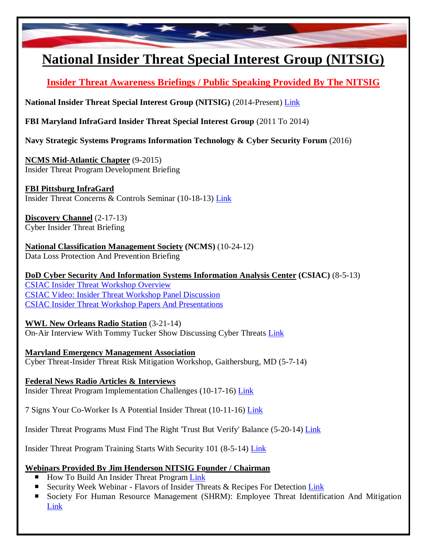

## **National Insider Threat Special Interest Group (NITSIG)**

**Insider Threat Awareness Briefings / Public Speaking Provided By The NITSIG**

**National Insider Threat Special Interest Group (NITSIG)** (2014-Present) [Link](http://www.nationalinsiderthreatsig.org/nitsigmeetings.html)

**FBI Maryland InfraGard Insider Threat Special Interest Group** (2011 To 2014)

**Navy Strategic Systems Programs Information Technology & Cyber Security Forum** (2016)

**NCMS Mid-Atlantic Chapter** (9-2015) Insider Threat Program Development Briefing

**FBI Pittsburg InfraGard**  Insider Threat Concerns & Controls Seminar (10-18-13) [Link](http://pittsburgh.eventful.com/events/pgh-infragard-presents-insider-threat-concern-/E0-001-062018327-8)

**Discovery Channel** (2-17-13) Cyber Insider Threat Briefing

**National Classification Management Society (NCMS)** (10-24-12) Data Loss Protection And Prevention Briefing

**DoD Cyber Security And Information Systems Information Analysis Center (CSIAC)** (8-5-13) [CSIAC Insider Threat Workshop Overview](https://www.csiac.org/event/insider-threat-workshop) [CSIAC Video: Insider Threat Workshop Panel Discussion](https://vimeo.com/75902199) [CSIAC Insider Threat Workshop Papers And Presentations](https://www.csiac.org/wp-content/uploads/2016/03/CSIAC-Insider-Threat-Report-Proceedings.pdf)

## **WWL New Orleans Radio Station** (3-21-14)

On-Air Interview With Tommy Tucker Show Discussing Cyber Threats [Link](http://media.wwl.com/device/mobile/a/89111049/3-21-9-10am-tommy-online-security.htm?q=jim+henderson)

**Maryland Emergency Management Association**  Cyber Threat-Insider Threat Risk Mitigation Workshop, Gaithersburg, MD (5-7-14)

**Federal News Radio Articles & Interviews** Insider Threat Program Implementation Challenges (10-17-16) [Link](http://federalnewsradio.com/workforce/2016/10/slow-implementation-insider-threat-programs-not-cause-latest-incident/)

7 Signs Your Co-Worker Is A Potential Insider Threat (10-11-16) [Link](http://federalnewsradio.com/workforce/2016/10/7-signs-co-worker-potential-insider-threat/slide/1/)

Insider Threat Programs Must Find The Right 'Trust But Verify' Balance (5-20-14) [Link](http://federalnewsradio.com/technology/2014/05/insider-threat-programs-must-find-the-right-trust-but-verify-balance)

Insider Threat Program Training Starts With Security 101 (8-5-14) [Link](http://federalnewsradio.com/technology/2014/08/insider-threat-program-training-starts-with-security-101/)

## **Webinars Provided By Jim Henderson NITSIG Founder / Chairman**

- How To Build An Insider Threat Program [Link](https://www.youtube.com/watch?v=-GvsPx55teA)
- Security Week Webinar Flavors of Insider Threats & Recipes For Detection [Link](https://event.on24.com/eventRegistration/EventLobbyServlet?target=reg20.jsp&partnerref=Email2&eventid=1398664&sessionid=1&key=64C6931B58CA47075ABA51C0C89863FF®Tag=&sourcepage=register)
- Society For Human Resource Management (SHRM): Employee Threat Identification And Mitigation [Link](http://fcshrm.shrm.org/events/2017/04/employee-threat-identification-and-mitigation)